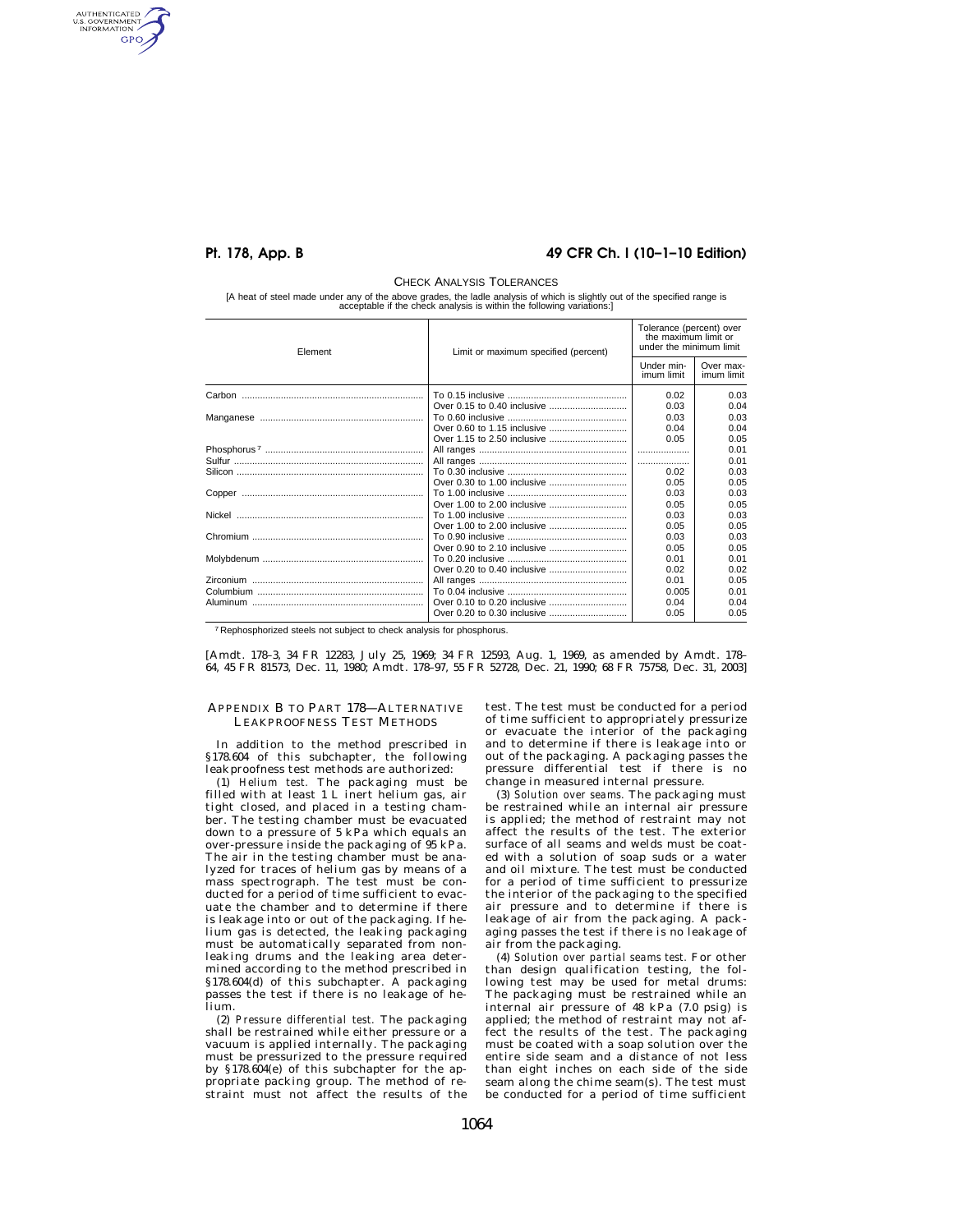AUTHENTICATED<br>U.S. GOVERNMENT<br>INFORMATION **GPO** 

# **Pt. 178, App. B 49 CFR Ch. I (10–1–10 Edition)**

#### CHECK ANALYSIS TOLERANCES

[A heat of steel made under any of the above grades, the ladle analysis of which is slightly out of the specified range is acceptable if the check analysis is within the following variations:]

| Element | Limit or maximum specified (percent) | Tolerance (percent) over<br>the maximum limit or<br>under the minimum limit |                         |
|---------|--------------------------------------|-----------------------------------------------------------------------------|-------------------------|
|         |                                      | Under min-<br>imum limit                                                    | Over max-<br>imum limit |
|         |                                      | 0.02                                                                        | 0.03                    |
|         |                                      | 0.03                                                                        | 0.04                    |
|         |                                      | 0.03                                                                        | 0.03                    |
|         |                                      | 0.04                                                                        | 0.04                    |
|         |                                      | 0.05                                                                        | 0.05                    |
|         |                                      | .                                                                           | 0.01                    |
|         |                                      |                                                                             | 0.01                    |
|         |                                      | 0.02                                                                        | 0.03                    |
|         |                                      | 0.05                                                                        | 0.05                    |
|         |                                      | 0.03                                                                        | 0.03                    |
|         |                                      | 0.05                                                                        | 0.05                    |
|         |                                      | 0.03                                                                        | 0.03                    |
|         |                                      | 0.05                                                                        | 0.05                    |
|         |                                      | 0.03                                                                        | 0.03                    |
|         |                                      | 0.05                                                                        | 0.05                    |
|         |                                      | 0.01                                                                        | 0.01                    |
|         |                                      | 0.02                                                                        | 0.02                    |
|         |                                      | 0.01                                                                        | 0.05                    |
|         |                                      | 0.005                                                                       | 0.01                    |
|         |                                      | 0.04                                                                        | 0.04                    |
|         |                                      | 0.05                                                                        | 0.05                    |

7 Rephosphorized steels not subject to check analysis for phosphorus.

[Amdt. 178–3, 34 FR 12283, July 25, 1969; 34 FR 12593, Aug. 1, 1969, as amended by Amdt. 178– 64, 45 FR 81573, Dec. 11, 1980; Amdt. 178–97, 55 FR 52728, Dec. 21, 1990; 68 FR 75758, Dec. 31, 2003]

## APPENDIX B TO PART 178—ALTERNATIVE LEAKPROOFNESS TEST METHODS

In addition to the method prescribed in §178.604 of this subchapter, the following leakproofness test methods are authorized:

(1) *Helium test.* The packaging must be filled with at least 1 L inert helium gas, air tight closed, and placed in a testing chamber. The testing chamber must be evacuated down to a pressure of 5 kPa which equals an over-pressure inside the packaging of 95 kPa. The air in the testing chamber must be analyzed for traces of helium gas by means of a mass spectrograph. The test must be conducted for a period of time sufficient to evacuate the chamber and to determine if there is leakage into or out of the packaging. If helium gas is detected, the leaking packaging must be automatically separated from nonleaking drums and the leaking area determined according to the method prescribed in §178.604(d) of this subchapter. A packaging passes the test if there is no leakage of helium.

(2) *Pressure differential test.* The packaging shall be restrained while either pressure or a vacuum is applied internally. The packaging must be pressurized to the pressure required by §178.604(e) of this subchapter for the appropriate packing group. The method of restraint must not affect the results of the test. The test must be conducted for a period of time sufficient to appropriately pressurize or evacuate the interior of the packaging and to determine if there is leakage into or out of the packaging. A packaging passes the pressure differential test if there is no change in measured internal pressure.

(3) *Solution over seams.* The packaging must be restrained while an internal air pressure is applied; the method of restraint may not affect the results of the test. The exterior surface of all seams and welds must be coated with a solution of soap suds or a water and oil mixture. The test must be conducted for a period of time sufficient to pressurize the interior of the packaging to the specified air pressure and to determine if there is leakage of air from the packaging. A packaging passes the test if there is no leakage of air from the packaging.

(4) *Solution over partial seams test.* For other than design qualification testing, the following test may be used for metal drums: The packaging must be restrained while an internal air pressure of 48 kPa (7.0 psig) is applied; the method of restraint may not affect the results of the test. The packaging must be coated with a soap solution over the entire side seam and a distance of not less than eight inches on each side of the side seam along the chime seam(s). The test must be conducted for a period of time sufficient